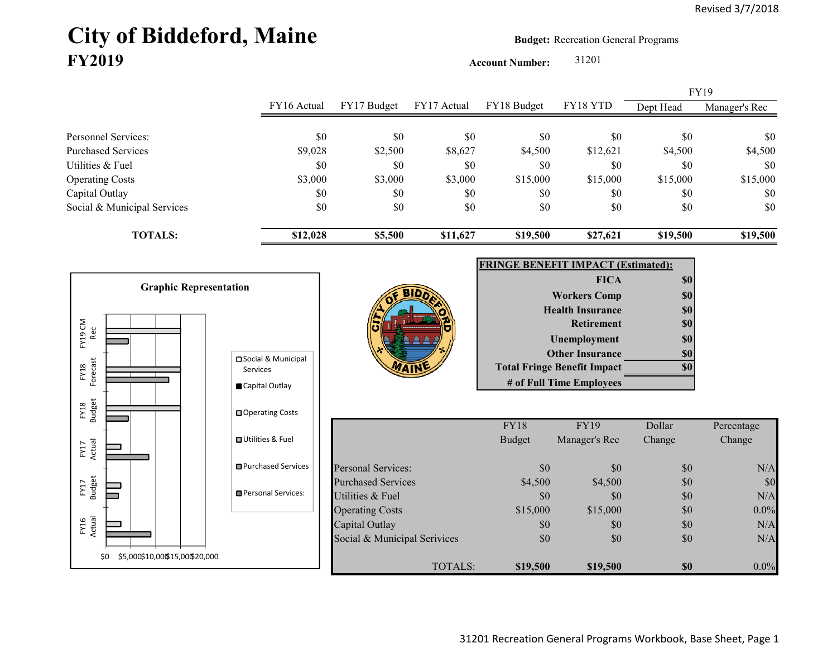## City of Biddeford, Maine **Budget:** Recreation General Programs **FY2019**

**Account Number:** 31201

FY16 Actual FY17 Budget FY17 Actual FY18 Budget FY18 YTD Dept Head Manager's Rec Personnel Services: \$0 \$0 \$0 \$0 \$0 \$0 \$0 Purchased Services 69,028 \$9,028 \$2,500 \$8,627 \$4,500 \$12,621 \$4,500 \$4,500 Utilities & Fuel \$0 \$0 \$0 \$0 \$0 \$0 \$0 Operating Costs 68,000 \$3,000 \$3,000 \$15,000 \$15,000 \$15,000 \$15,000 \$15,000 \$15,000 Capital Outlay \$0 \$0 \$0 \$0 \$0 \$0 Social & Municipal Services \$0 \$0 \$0 \$0 \$0 \$0 \$0 **TOTALS: \$12,028 \$5,500 \$11,627 \$19,500 \$27,621 \$19,500 \$19,500** FY19

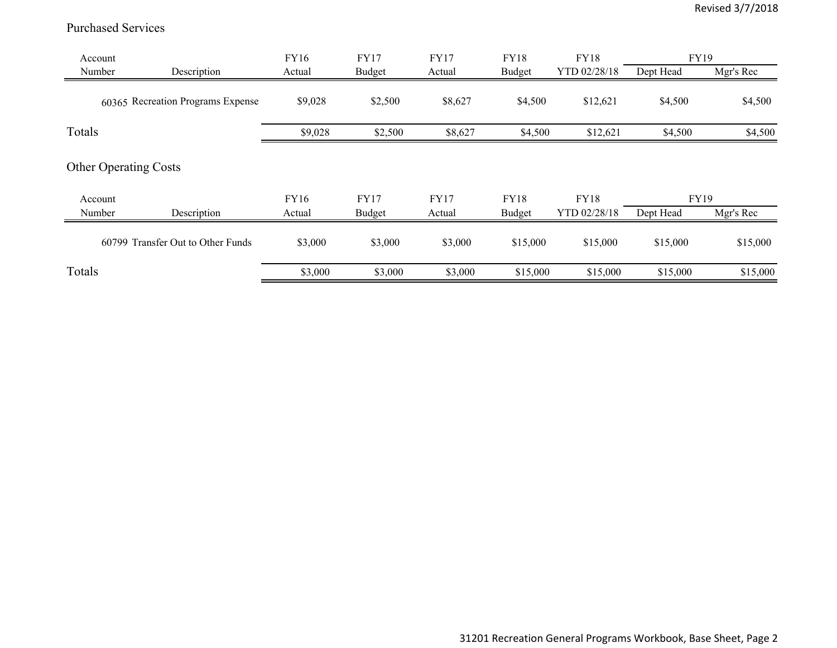## Purchased Services

| Account |                                      | FY16    | <b>FY17</b>   | <b>FY17</b> | <b>FY18</b> | <b>FY18</b>  | <b>FY19</b> |           |
|---------|--------------------------------------|---------|---------------|-------------|-------------|--------------|-------------|-----------|
| Number  | Description                          | Actual  | <b>Budget</b> | Actual      | Budget      | YTD 02/28/18 | Dept Head   | Mgr's Rec |
|         | 60365 Recreation Programs Expense    | \$9,028 | \$2,500       | \$8,627     | \$4,500     | \$12,621     | \$4,500     | \$4,500   |
| Totals  |                                      | \$9,028 | \$2,500       | \$8,627     | \$4,500     | \$12,621     | \$4,500     | \$4,500   |
|         | <b>Other Operating Costs</b>         |         |               |             |             |              |             |           |
| Account |                                      | FY16    | <b>FY17</b>   | <b>FY17</b> | <b>FY18</b> | <b>FY18</b>  | FY19        |           |
| Number  | Description                          | Actual  | Budget        | Actual      | Budget      | YTD 02/28/18 | Dept Head   | Mgr's Rec |
|         | Transfer Out to Other Funds<br>60799 | \$3,000 | \$3,000       | \$3,000     | \$15,000    | \$15,000     | \$15,000    | \$15,000  |
| Totals  |                                      | \$3,000 | \$3,000       | \$3,000     | \$15,000    | \$15,000     | \$15,000    | \$15,000  |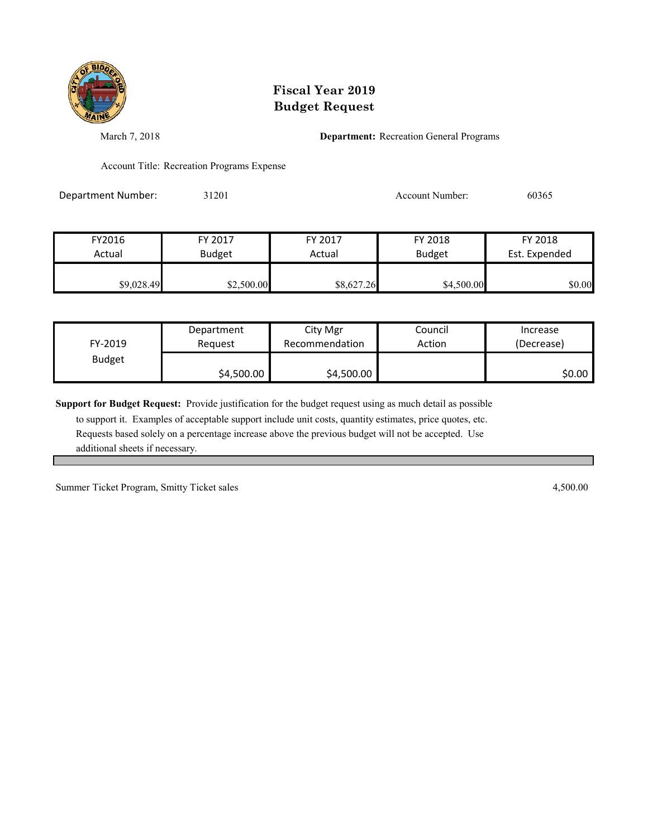

## **Fiscal Year 2019 Budget Request**

March 7, 2018 **Department:** Recreation General Programs

Account Title: Recreation Programs Expense

Department Number: 31201 31201 Account Number: 60365

| FY2016     | FY 2017       |                      | FY 2018       | FY 2018       |  |
|------------|---------------|----------------------|---------------|---------------|--|
| Actual     | <b>Budget</b> |                      | <b>Budget</b> | Est. Expended |  |
| \$9,028.49 | \$2,500.00    | Actual<br>\$8,627.26 | \$4,500.00    | \$0.00        |  |

| FY-2019       | Department | City Mgr       | Council | Increase   |
|---------------|------------|----------------|---------|------------|
|               | Reauest    | Recommendation | Action  | (Decrease) |
| <b>Budget</b> | \$4,500.00 | \$4,500.00     |         | \$0.00     |

**Support for Budget Request:** Provide justification for the budget request using as much detail as possible

 to support it. Examples of acceptable support include unit costs, quantity estimates, price quotes, etc. Requests based solely on a percentage increase above the previous budget will not be accepted. Use additional sheets if necessary.

Summer Ticket Program, Smitty Ticket sales 4,500.00